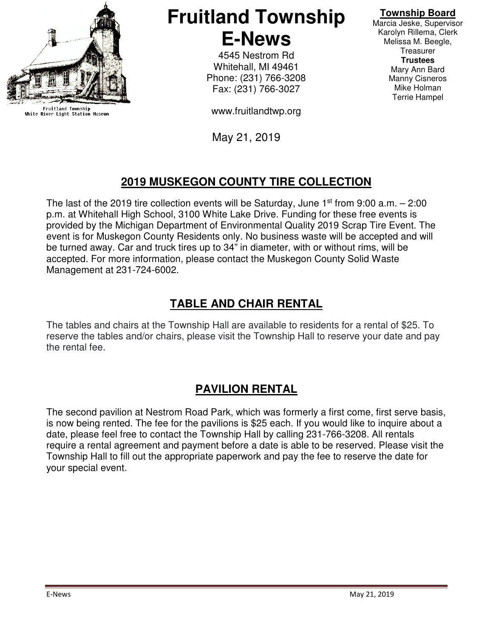

Fruitland Township<br>White River Light Station Museum

# **Fruitland Township E-News**

4545 Nestrom Rd Whitehall, MI 49461 Phone: (231) 766-3208 Fax: (231) 766-3027

www.fruitlandtwp.org

May 21, 2019

#### **Township Board**

Marcia Jeske, Supervisor Karolyn Rillema, Clerk Melissa M. Beegle, **Treasurer Trustees**  Mary Ann Bard Manny Cisneros Mike Holman Terrie Hampel

## **2019 MUSKEGON COUNTY TIRE COLLECTION**

The last of the 2019 tire collection events will be Saturday, June  $1<sup>st</sup>$  from 9:00 a.m.  $- 2:00$ p.m. at Whitehall High School, 3100 White Lake Drive. Funding for these free events is provided by the Michigan Department of Environmental Quality 2019 Scrap Tire Event. The event is for Muskegon County Residents only. No business waste will be accepted and will be turned away. Car and truck tires up to 34" in diameter, with or without rims, will be accepted. For more information, please contact the Muskegon County Solid Waste Management at 231-724-6002.

### **TABLE AND CHAIR RENTAL**

The tables and chairs at the Township Hall are available to residents for a rental of \$25. To reserve the tables and/or chairs, please visit the Township Hall to reserve your date and pay the rental fee.

### **PAVILION RENTAL**

The second pavilion at Nestrom Road Park, which was formerly a first come, first serve basis, is now being rented. The fee for the pavilions is \$25 each. If you would like to inquire about a date, please feel free to contact the Township Hall by calling 231-766-3208. All rentals require a rental agreement and payment before a date is able to be reserved. Please visit the Township Hall to fill out the appropriate paperwork and pay the fee to reserve the date for your special event.